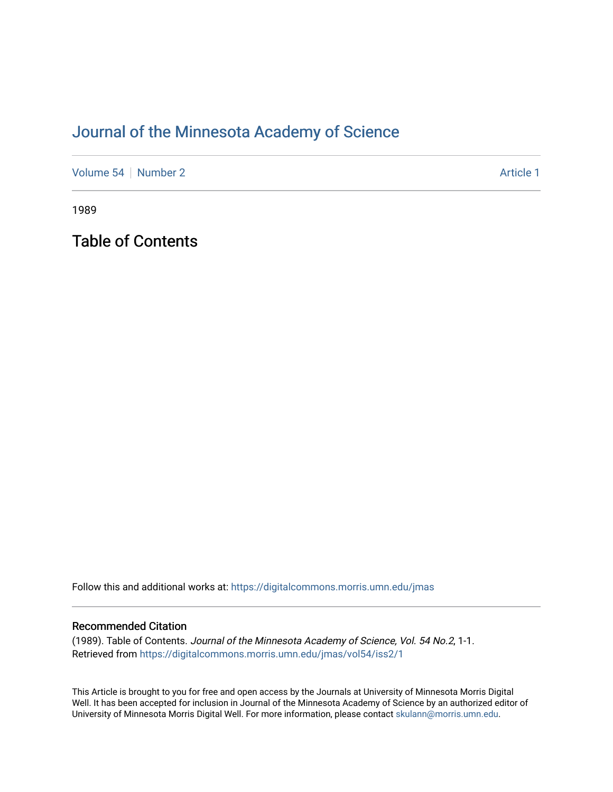## [Journal of the Minnesota Academy of Science](https://digitalcommons.morris.umn.edu/jmas)

[Volume 54](https://digitalcommons.morris.umn.edu/jmas/vol54) | [Number 2](https://digitalcommons.morris.umn.edu/jmas/vol54/iss2) Article 1

1989

Table of Contents

Follow this and additional works at: [https://digitalcommons.morris.umn.edu/jmas](https://digitalcommons.morris.umn.edu/jmas?utm_source=digitalcommons.morris.umn.edu%2Fjmas%2Fvol54%2Fiss2%2F1&utm_medium=PDF&utm_campaign=PDFCoverPages) 

## Recommended Citation

(1989). Table of Contents. Journal of the Minnesota Academy of Science, Vol. 54 No.2, 1-1. Retrieved from [https://digitalcommons.morris.umn.edu/jmas/vol54/iss2/1](https://digitalcommons.morris.umn.edu/jmas/vol54/iss2/1?utm_source=digitalcommons.morris.umn.edu%2Fjmas%2Fvol54%2Fiss2%2F1&utm_medium=PDF&utm_campaign=PDFCoverPages)

This Article is brought to you for free and open access by the Journals at University of Minnesota Morris Digital Well. It has been accepted for inclusion in Journal of the Minnesota Academy of Science by an authorized editor of University of Minnesota Morris Digital Well. For more information, please contact [skulann@morris.umn.edu](mailto:skulann@morris.umn.edu).